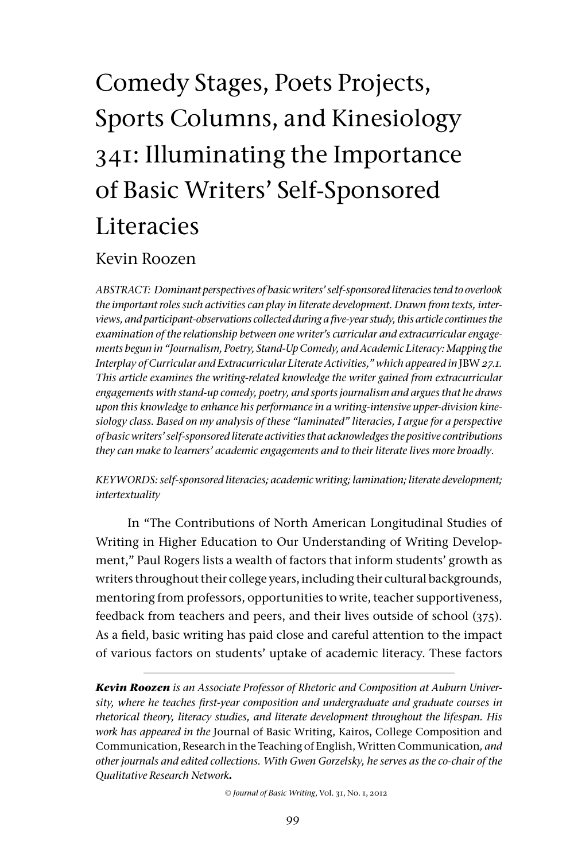# Comedy Stages, Poets Projects, Sports Columns, and Kinesiology 341: Illuminating the Importance of Basic Writers' Self-Sponsored **Literacies**

# Kevin Roozen

*ABSTRACT: Dominant perspectives of basic writers' self-sponsored literacies tend to overlook the important roles such activities can play in literate development. Drawn from texts, interviews, and participant-observations collected during a five-year study, this article continues the examination of the relationship between one writer's curricular and extracurricular engagements begun in "Journalism, Poetry, Stand-Up Comedy, and Academic Literacy: Mapping the Interplay of Curricular and Extracurricular Literate Activities," which appeared in JBW 27.1. This article examines the writing-related knowledge the writer gained from extracurricular engagements with stand-up comedy, poetry, and sports journalism and argues that he draws upon this knowledge to enhance his performance in a writing-intensive upper-division kinesiology class. Based on my analysis of these "laminated" literacies, I argue for a perspective of basic writers' self-sponsored literate activities that acknowledges the positive contributions they can make to learners' academic engagements and to their literate lives more broadly.* 

*KEYWORDS: self-sponsored literacies; academic writing; lamination; literate development; intertextuality*

In "The Contributions of North American Longitudinal Studies of Writing in Higher Education to Our Understanding of Writing Development," Paul Rogers lists a wealth of factors that inform students' growth as writers throughout their college years, including their cultural backgrounds, mentoring from professors, opportunities to write, teacher supportiveness, feedback from teachers and peers, and their lives outside of school (375). As a field, basic writing has paid close and careful attention to the impact of various factors on students' uptake of academic literacy. These factors

*Kevin Roozen is an Associate Professor of Rhetoric and Composition at Auburn University, where he teaches first-year composition and undergraduate and graduate courses in rhetorical theory, literacy studies, and literate development throughout the lifespan. His work has appeared in the* Journal of Basic Writing, Kairos, College Composition and Communication, Research in the Teaching of English, Written Communication*, and other journals and edited collections. With Gwen Gorzelsky, he serves as the co-chair of the Qualitative Research Network.* 

© *Journal of Basic Writing*, Vol. 31, No. 1, 2012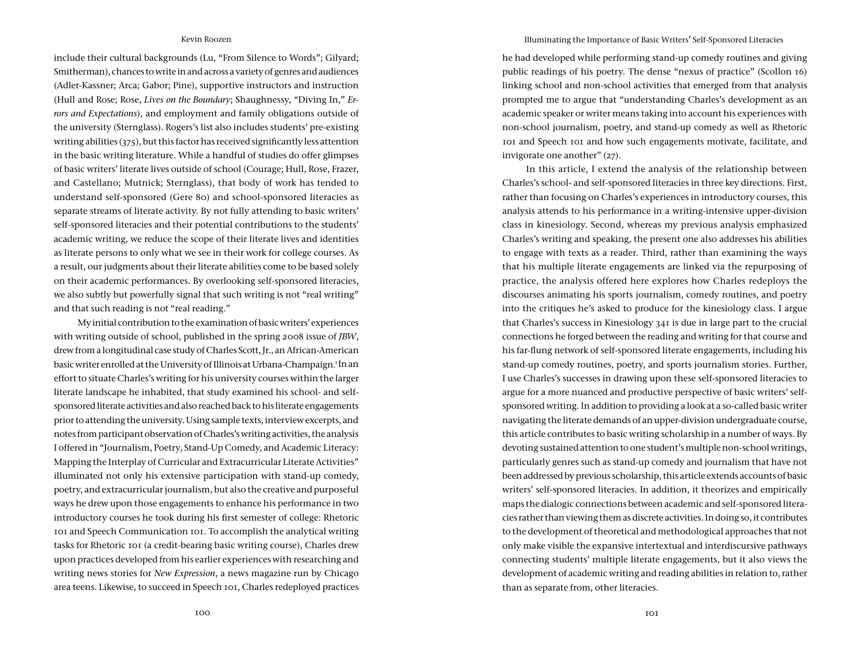include their cultural backgrounds (Lu, "From Silence to Words"; Gilyard; Smitherman), chances to write in and across a variety of genres and audiences (Adler-Kassner; Arca; Gabor; Pine), supportive instructors and instruction (Hull and Rose; Rose, *Lives on the Boundary*; Shaughnessy, "Diving In," *Errors and Expectations*), and employment and family obligations outside of the university (Sternglass). Rogers's list also includes students' pre-existing writing abilities (375), but this factor has received significantly less attention in the basic writing literature. While a handful of studies do offer glimpses of basic writers' literate lives outside of school (Courage; Hull, Rose, Frazer, and Castellano; Mutnick; Sternglass), that body of work has tended to understand self-sponsored (Gere 80) and school-sponsored literacies as separate streams of literate activity. By not fully attending to basic writers' self-sponsored literacies and their potential contributions to the students' academic writing, we reduce the scope of their literate lives and identities as literate persons to only what we see in their work for college courses. As a result, our judgments about their literate abilities come to be based solely on their academic performances. By overlooking self-sponsored literacies, we also subtly but powerfully signal that such writing is not "real writing" and that such reading is not "real reading."

My initial contribution to the examination of basic writers' experiences with writing outside of school, published in the spring 2008 issue of *JBW*, drew from a longitudinal case study of Charles Scott, Jr., an African-American basic writer enrolled at the University of Illinois at Urbana-Champaign.<sup>1</sup> In an effort to situate Charles's writing for his university courses within the larger literate landscape he inhabited, that study examined his school- and selfsponsored literate activities and also reached back to his literate engagements prior to attending the university. Using sample texts, interview excerpts, and notes from participant observation of Charles's writing activities, the analysis I offered in "Journalism, Poetry, Stand-Up Comedy, and Academic Literacy: Mapping the Interplay of Curricular and Extracurricular Literate Activities" illuminated not only his extensive participation with stand-up comedy, poetry, and extracurricular journalism, but also the creative and purposeful ways he drew upon those engagements to enhance his performance in two introductory courses he took during his first semester of college: Rhetoric 101 and Speech Communication 101. To accomplish the analytical writing tasks for Rhetoric 101 (a credit-bearing basic writing course), Charles drew upon practices developed from his earlier experiences with researching and writing news stories for *New Expression*, a news magazine run by Chicago area teens. Likewise, to succeed in Speech 101, Charles redeployed practices

#### Illuminating the Importance of Basic Writers' Self-Sponsored Literacies

he had developed while performing stand-up comedy routines and giving public readings of his poetry. The dense "nexus of practice" (Scollon 16) linking school and non-school activities that emerged from that analysis prompted me to argue that "understanding Charles's development as an academic speaker or writer means taking into account his experiences with non-school journalism, poetry, and stand-up comedy as well as Rhetoric 101 and Speech 101 and how such engagements motivate, facilitate, and invigorate one another" (27).

In this article, I extend the analysis of the relationship between Charles's school- and self-sponsored literacies in three key directions. First, rather than focusing on Charles's experiences in introductory courses, this analysis attends to his performance in a writing-intensive upper-division class in kinesiology. Second, whereas my previous analysis emphasized Charles's writing and speaking, the present one also addresses his abilities to engage with texts as a reader. Third, rather than examining the ways that his multiple literate engagements are linked via the repurposing of practice, the analysis offered here explores how Charles redeploys the discourses animating his sports journalism, comedy routines, and poetry into the critiques he's asked to produce for the kinesiology class. I argue that Charles's success in Kinesiology 341 is due in large part to the crucial connections he forged between the reading and writing for that course and his far-flung network of self-sponsored literate engagements, including his stand-up comedy routines, poetry, and sports journalism stories. Further, I use Charles's successes in drawing upon these self-sponsored literacies to argue for a more nuanced and productive perspective of basic writers' selfsponsored writing. In addition to providing a look at a so-called basic writer navigating the literate demands of an upper-division undergraduate course, this article contributes to basic writing scholarship in a number of ways. By devoting sustained attention to one student's multiple non-school writings, particularly genres such as stand-up comedy and journalism that have not been addressed by previous scholarship, this article extends accounts of basic writers' self-sponsored literacies. In addition, it theorizes and empirically maps the dialogic connections between academic and self-sponsored literacies rather than viewing them as discrete activities. In doing so, it contributes to the development of theoretical and methodological approaches that not only make visible the expansive intertextual and interdiscursive pathways connecting students' multiple literate engagements, but it also views the development of academic writing and reading abilities in relation to, rather than as separate from, other literacies.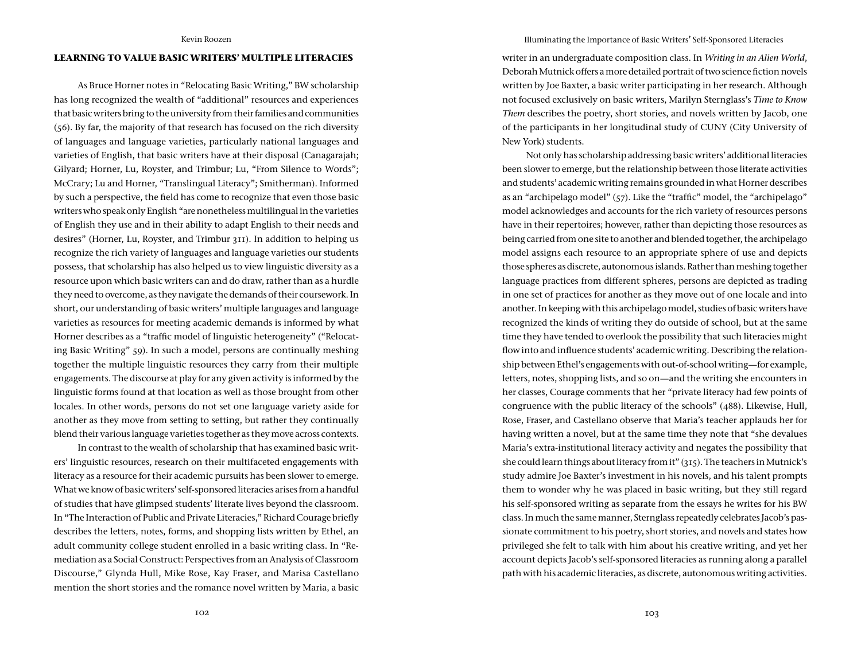# **LEARNING TO VALUE BASIC WRITERS' MULTIPLE LITERACIES**

As Bruce Horner notes in "Relocating Basic Writing," BW scholarship has long recognized the wealth of "additional" resources and experiences that basic writers bring to the university from their families and communities (56). By far, the majority of that research has focused on the rich diversity of languages and language varieties, particularly national languages and varieties of English, that basic writers have at their disposal (Canagarajah; Gilyard; Horner, Lu, Royster, and Trimbur; Lu, "From Silence to Words"; McCrary; Lu and Horner, "Translingual Literacy"; Smitherman). Informed by such a perspective, the field has come to recognize that even those basic writers who speak only English "are nonetheless multilingual in the varieties of English they use and in their ability to adapt English to their needs and desires" (Horner, Lu, Royster, and Trimbur 311). In addition to helping us recognize the rich variety of languages and language varieties our students possess, that scholarship has also helped us to view linguistic diversity as a resource upon which basic writers can and do draw, rather than as a hurdle they need to overcome, as they navigate the demands of their coursework. In short, our understanding of basic writers' multiple languages and language varieties as resources for meeting academic demands is informed by what Horner describes as a "traffic model of linguistic heterogeneity" ("Relocating Basic Writing" 59). In such a model, persons are continually meshing together the multiple linguistic resources they carry from their multiple engagements. The discourse at play for any given activity is informed by the linguistic forms found at that location as well as those brought from other locales. In other words, persons do not set one language variety aside for another as they move from setting to setting, but rather they continually blend their various language varieties together as they move across contexts.

In contrast to the wealth of scholarship that has examined basic writers' linguistic resources, research on their multifaceted engagements with literacy as a resource for their academic pursuits has been slower to emerge. What we know of basic writers' self-sponsored literacies arises from a handful of studies that have glimpsed students' literate lives beyond the classroom. In "The Interaction of Public and Private Literacies," Richard Courage briefly describes the letters, notes, forms, and shopping lists written by Ethel, an adult community college student enrolled in a basic writing class. In "Remediation as a Social Construct: Perspectives from an Analysis of Classroom Discourse," Glynda Hull, Mike Rose, Kay Fraser, and Marisa Castellano mention the short stories and the romance novel written by Maria, a basic

Illuminating the Importance of Basic Writers' Self-Sponsored Literacies

writer in an undergraduate composition class. In *Writing in an Alien World*, Deborah Mutnick offers a more detailed portrait of two science fiction novels written by Joe Baxter, a basic writer participating in her research. Although not focused exclusively on basic writers, Marilyn Sternglass's *Time to Know Them* describes the poetry, short stories, and novels written by Jacob, one of the participants in her longitudinal study of CUNY (City University of New York) students.

Not only has scholarship addressing basic writers' additional literacies been slower to emerge, but the relationship between those literate activities and students' academic writing remains grounded in what Horner describes as an "archipelago model" (57). Like the "traffic" model, the "archipelago" model acknowledges and accounts for the rich variety of resources persons have in their repertoires; however, rather than depicting those resources as being carried from one site to another and blended together, the archipelago model assigns each resource to an appropriate sphere of use and depicts those spheres as discrete, autonomous islands. Rather than meshing together language practices from different spheres, persons are depicted as trading in one set of practices for another as they move out of one locale and into another. In keeping with this archipelago model, studies of basic writers have recognized the kinds of writing they do outside of school, but at the same time they have tended to overlook the possibility that such literacies might flow into and influence students' academic writing. Describing the relationship between Ethel's engagements with out-of-school writing—for example, letters, notes, shopping lists, and so on—and the writing she encounters in her classes, Courage comments that her "private literacy had few points of congruence with the public literacy of the schools" (488). Likewise, Hull, Rose, Fraser, and Castellano observe that Maria's teacher applauds her for having written a novel, but at the same time they note that "she devalues Maria's extra-institutional literacy activity and negates the possibility that she could learn things about literacy from it" (315). The teachers in Mutnick's study admire Joe Baxter's investment in his novels, and his talent prompts them to wonder why he was placed in basic writing, but they still regard his self-sponsored writing as separate from the essays he writes for his BW class. In much the same manner, Sternglass repeatedly celebrates Jacob's passionate commitment to his poetry, short stories, and novels and states how privileged she felt to talk with him about his creative writing, and yet her account depicts Jacob's self-sponsored literacies as running along a parallel path with his academic literacies, as discrete, autonomous writing activities.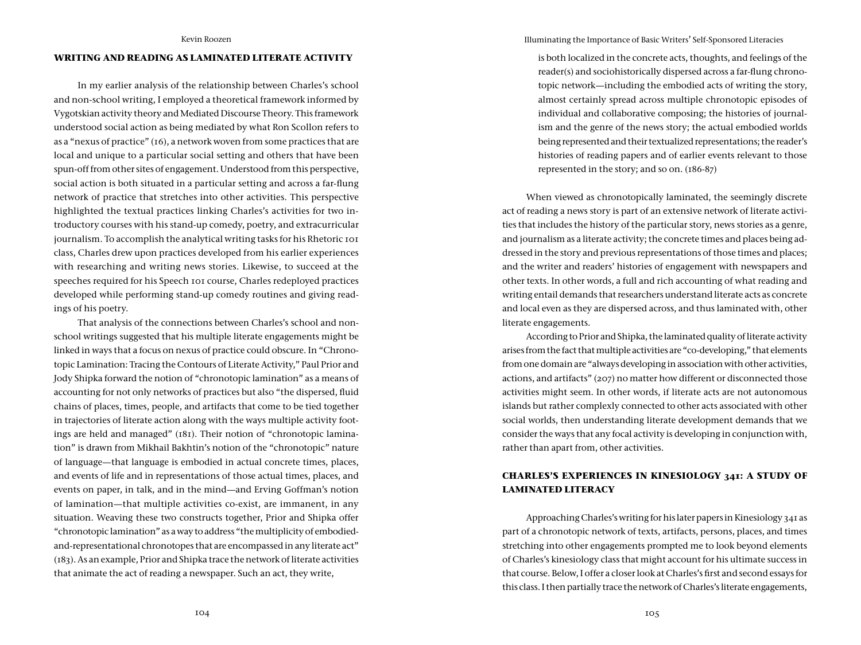# **WRITING AND READING AS LAMINATED LITERATE ACTIVITY**

In my earlier analysis of the relationship between Charles's school and non-school writing, I employed a theoretical framework informed by Vygotskian activity theory and Mediated Discourse Theory. This framework understood social action as being mediated by what Ron Scollon refers to as a "nexus of practice" (16), a network woven from some practices that are local and unique to a particular social setting and others that have been spun-off from other sites of engagement. Understood from this perspective, social action is both situated in a particular setting and across a far-flung network of practice that stretches into other activities. This perspective highlighted the textual practices linking Charles's activities for two introductory courses with his stand-up comedy, poetry, and extracurricular journalism. To accomplish the analytical writing tasks for his Rhetoric 101 class, Charles drew upon practices developed from his earlier experiences with researching and writing news stories. Likewise, to succeed at the speeches required for his Speech 101 course, Charles redeployed practices developed while performing stand-up comedy routines and giving readings of his poetry.

That analysis of the connections between Charles's school and nonschool writings suggested that his multiple literate engagements might be linked in ways that a focus on nexus of practice could obscure. In "Chronotopic Lamination: Tracing the Contours of Literate Activity," Paul Prior and Jody Shipka forward the notion of "chronotopic lamination" as a means of accounting for not only networks of practices but also "the dispersed, fluid chains of places, times, people, and artifacts that come to be tied together in trajectories of literate action along with the ways multiple activity footings are held and managed" (181). Their notion of "chronotopic lamination" is drawn from Mikhail Bakhtin's notion of the "chronotopic" nature of language—that language is embodied in actual concrete times, places, and events of life and in representations of those actual times, places, and events on paper, in talk, and in the mind—and Erving Goffman's notion of lamination—that multiple activities co-exist, are immanent, in any situation. Weaving these two constructs together, Prior and Shipka offer "chronotopic lamination" as a way to address "the multiplicity of embodiedand-representational chronotopes that are encompassed in any literate act" (183). As an example, Prior and Shipka trace the network of literate activities that animate the act of reading a newspaper. Such an act, they write,

Illuminating the Importance of Basic Writers' Self-Sponsored Literacies

is both localized in the concrete acts, thoughts, and feelings of the reader(s) and sociohistorically dispersed across a far-flung chronotopic network—including the embodied acts of writing the story, almost certainly spread across multiple chronotopic episodes of individual and collaborative composing; the histories of journalism and the genre of the news story; the actual embodied worlds being represented and their textualized representations; the reader's histories of reading papers and of earlier events relevant to those represented in the story; and so on. (186-87)

When viewed as chronotopically laminated, the seemingly discrete act of reading a news story is part of an extensive network of literate activities that includes the history of the particular story, news stories as a genre, and journalism as a literate activity; the concrete times and places being addressed in the story and previous representations of those times and places; and the writer and readers' histories of engagement with newspapers and other texts. In other words, a full and rich accounting of what reading and writing entail demands that researchers understand literate acts as concrete and local even as they are dispersed across, and thus laminated with, other literate engagements.

According to Prior and Shipka, the laminated quality of literate activity arises from the fact that multiple activities are "co-developing," that elements from one domain are "always developing in association with other activities, actions, and artifacts" (207) no matter how different or disconnected those activities might seem. In other words, if literate acts are not autonomous islands but rather complexly connected to other acts associated with other social worlds, then understanding literate development demands that we consider the ways that any focal activity is developing in conjunction with, rather than apart from, other activities.

# **CHARLES'S EXPERIENCES IN KINESIOLOGY 341: A STUDY OF LAMINATED LITERACY**

Approaching Charles's writing for his later papers in Kinesiology 341 as part of a chronotopic network of texts, artifacts, persons, places, and times stretching into other engagements prompted me to look beyond elements of Charles's kinesiology class that might account for his ultimate success in that course. Below, I offer a closer look at Charles's first and second essays for this class. I then partially trace the network of Charles's literate engagements,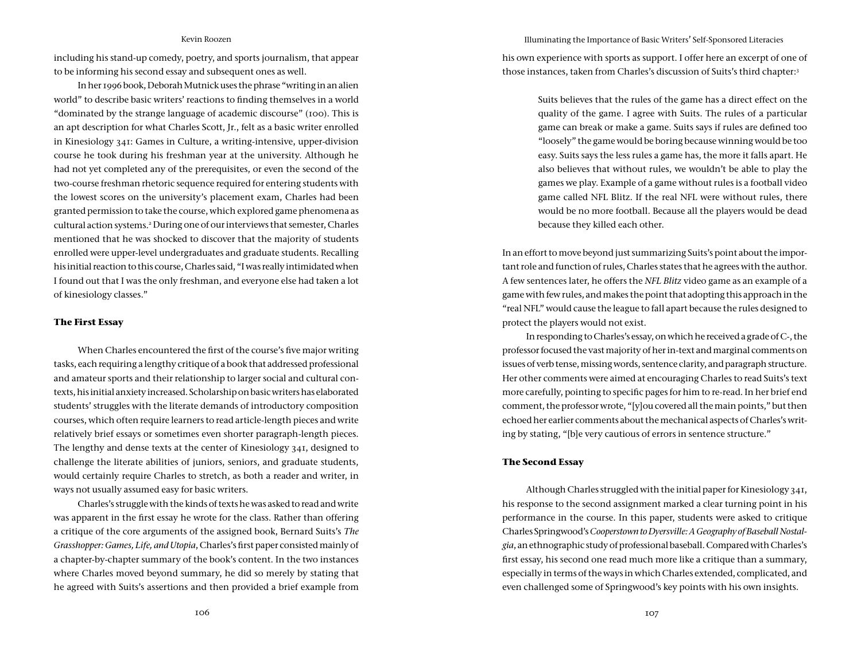including his stand-up comedy, poetry, and sports journalism, that appear to be informing his second essay and subsequent ones as well.

In her 1996 book, Deborah Mutnick uses the phrase "writing in an alien world" to describe basic writers' reactions to finding themselves in a world "dominated by the strange language of academic discourse" (100). This is an apt description for what Charles Scott, Jr., felt as a basic writer enrolled in Kinesiology 341: Games in Culture, a writing-intensive, upper-division course he took during his freshman year at the university. Although he had not yet completed any of the prerequisites, or even the second of the two-course freshman rhetoric sequence required for entering students with the lowest scores on the university's placement exam, Charles had been granted permission to take the course, which explored game phenomena as cultural action systems.2 During one of our interviews that semester, Charles mentioned that he was shocked to discover that the majority of students enrolled were upper-level undergraduates and graduate students. Recalling his initial reaction to this course, Charles said, "I was really intimidated when I found out that I was the only freshman, and everyone else had taken a lot of kinesiology classes."

# **The First Essay**

When Charles encountered the first of the course's five major writing tasks, each requiring a lengthy critique of a book that addressed professional and amateur sports and their relationship to larger social and cultural contexts, his initial anxiety increased. Scholarship on basic writers has elaborated students' struggles with the literate demands of introductory composition courses, which often require learners to read article-length pieces and write relatively brief essays or sometimes even shorter paragraph-length pieces. The lengthy and dense texts at the center of Kinesiology 341, designed to challenge the literate abilities of juniors, seniors, and graduate students, would certainly require Charles to stretch, as both a reader and writer, in ways not usually assumed easy for basic writers.

Charles's struggle with the kinds of texts he was asked to read and write was apparent in the first essay he wrote for the class. Rather than offering a critique of the core arguments of the assigned book, Bernard Suits's *The Grasshopper: Games, Life, and Utopia*, Charles's first paper consisted mainly of a chapter-by-chapter summary of the book's content. In the two instances where Charles moved beyond summary, he did so merely by stating that he agreed with Suits's assertions and then provided a brief example from Illuminating the Importance of Basic Writers' Self-Sponsored Literacies

his own experience with sports as support. I offer here an excerpt of one of those instances, taken from Charles's discussion of Suits's third chapter:3

> Suits believes that the rules of the game has a direct effect on the quality of the game. I agree with Suits. The rules of a particular game can break or make a game. Suits says if rules are defined too "loosely" the game would be boring because winning would be too easy. Suits says the less rules a game has, the more it falls apart. He also believes that without rules, we wouldn't be able to play the games we play. Example of a game without rules is a football video game called NFL Blitz. If the real NFL were without rules, there would be no more football. Because all the players would be dead because they killed each other.

In an effort to move beyond just summarizing Suits's point about the important role and function of rules, Charles states that he agrees with the author. A few sentences later, he offers the *NFL Blitz* video game as an example of a game with few rules, and makes the point that adopting this approach in the "real NFL" would cause the league to fall apart because the rules designed to protect the players would not exist.

In responding to Charles's essay, on which he received a grade of C-, the professor focused the vast majority of her in-text and marginal comments on issues of verb tense, missing words, sentence clarity, and paragraph structure. Her other comments were aimed at encouraging Charles to read Suits's text more carefully, pointing to specific pages for him to re-read. In her brief end comment, the professor wrote, "[y]ou covered all the main points," but then echoed her earlier comments about the mechanical aspects of Charles's writing by stating, "[b]e very cautious of errors in sentence structure."

#### **The Second Essay**

Although Charles struggled with the initial paper for Kinesiology 341, his response to the second assignment marked a clear turning point in his performance in the course. In this paper, students were asked to critique Charles Springwood's *Cooperstown to Dyersville: A Geography of Baseball Nostalgia*, an ethnographic study of professional baseball. Compared with Charles's first essay, his second one read much more like a critique than a summary, especially in terms of the ways in which Charles extended, complicated, and even challenged some of Springwood's key points with his own insights.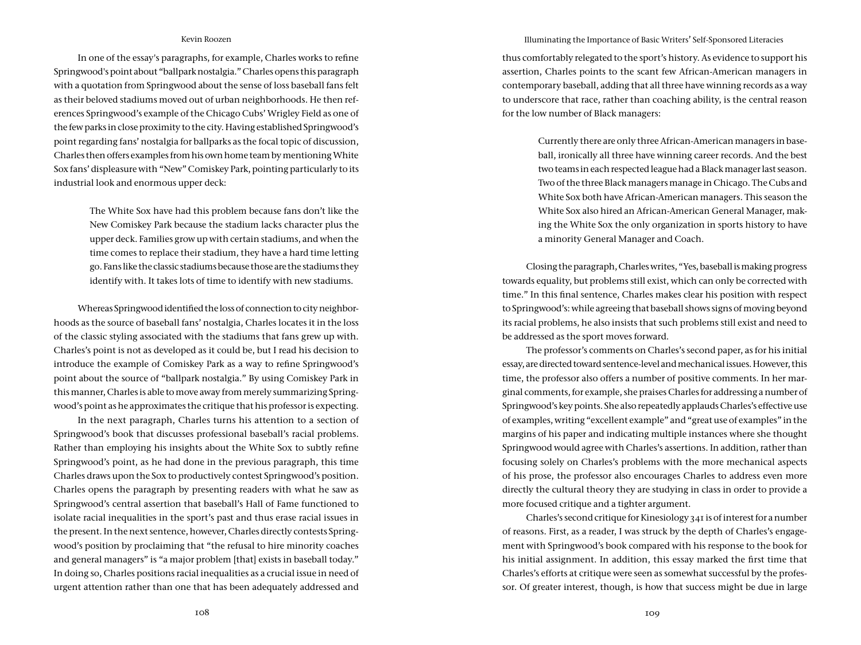In one of the essay's paragraphs, for example, Charles works to refine Springwood's point about "ballpark nostalgia." Charles opens this paragraph with a quotation from Springwood about the sense of loss baseball fans felt as their beloved stadiums moved out of urban neighborhoods. He then references Springwood's example of the Chicago Cubs' Wrigley Field as one of the few parks in close proximity to the city. Having established Springwood's point regarding fans' nostalgia for ballparks as the focal topic of discussion, Charles then offers examples from his own home team by mentioning White Sox fans' displeasure with "New" Comiskey Park, pointing particularly to its industrial look and enormous upper deck:

> The White Sox have had this problem because fans don't like the New Comiskey Park because the stadium lacks character plus the upper deck. Families grow up with certain stadiums, and when the time comes to replace their stadium, they have a hard time letting go. Fans like the classic stadiums because those are the stadiums they identify with. It takes lots of time to identify with new stadiums.

Whereas Springwood identified the loss of connection to city neighborhoods as the source of baseball fans' nostalgia, Charles locates it in the loss of the classic styling associated with the stadiums that fans grew up with. Charles's point is not as developed as it could be, but I read his decision to introduce the example of Comiskey Park as a way to refine Springwood's point about the source of "ballpark nostalgia." By using Comiskey Park in this manner, Charles is able to move away from merely summarizing Springwood's point as he approximates the critique that his professor is expecting.

In the next paragraph, Charles turns his attention to a section of Springwood's book that discusses professional baseball's racial problems. Rather than employing his insights about the White Sox to subtly refine Springwood's point, as he had done in the previous paragraph, this time Charles draws upon the Sox to productively contest Springwood's position. Charles opens the paragraph by presenting readers with what he saw as Springwood's central assertion that baseball's Hall of Fame functioned to isolate racial inequalities in the sport's past and thus erase racial issues in the present. In the next sentence, however, Charles directly contests Springwood's position by proclaiming that "the refusal to hire minority coaches and general managers" is "a major problem [that] exists in baseball today." In doing so, Charles positions racial inequalities as a crucial issue in need of urgent attention rather than one that has been adequately addressed and

#### Illuminating the Importance of Basic Writers' Self-Sponsored Literacies

thus comfortably relegated to the sport's history. As evidence to support his assertion, Charles points to the scant few African-American managers in contemporary baseball, adding that all three have winning records as a way to underscore that race, rather than coaching ability, is the central reason for the low number of Black managers:

> Currently there are only three African-American managers in baseball, ironically all three have winning career records. And the best two teams in each respected league had a Black manager last season. Two of the three Black managers manage in Chicago. The Cubs and White Sox both have African-American managers. This season the White Sox also hired an African-American General Manager, making the White Sox the only organization in sports history to have a minority General Manager and Coach.

Closing the paragraph, Charles writes, "Yes, baseball is making progress towards equality, but problems still exist, which can only be corrected with time." In this final sentence, Charles makes clear his position with respect to Springwood's: while agreeing that baseball shows signs of moving beyond its racial problems, he also insists that such problems still exist and need to be addressed as the sport moves forward.

The professor's comments on Charles's second paper, as for his initial essay, are directed toward sentence-level and mechanical issues. However, this time, the professor also offers a number of positive comments. In her marginal comments, for example, she praises Charles for addressing a number of Springwood's key points. She also repeatedly applauds Charles's effective use of examples, writing "excellent example" and "great use of examples" in the margins of his paper and indicating multiple instances where she thought Springwood would agree with Charles's assertions. In addition, rather than focusing solely on Charles's problems with the more mechanical aspects of his prose, the professor also encourages Charles to address even more directly the cultural theory they are studying in class in order to provide a more focused critique and a tighter argument.

Charles's second critique for Kinesiology 341 is of interest for a number of reasons. First, as a reader, I was struck by the depth of Charles's engagement with Springwood's book compared with his response to the book for his initial assignment. In addition, this essay marked the first time that Charles's efforts at critique were seen as somewhat successful by the professor. Of greater interest, though, is how that success might be due in large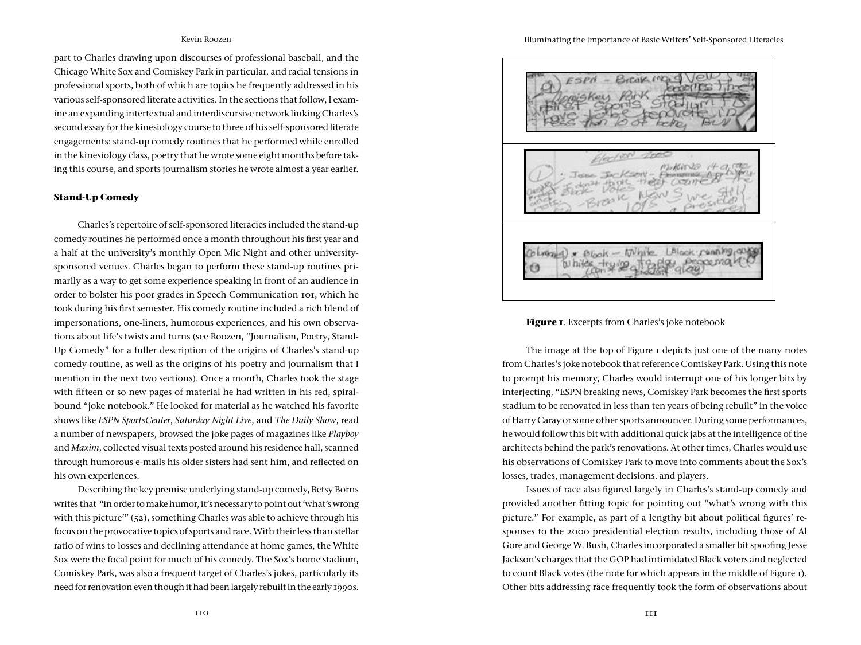part to Charles drawing upon discourses of professional baseball, and the Chicago White Sox and Comiskey Park in particular, and racial tensions in professional sports, both of which are topics he frequently addressed in his various self-sponsored literate activities. In the sections that follow, I examine an expanding intertextual and interdiscursive network linking Charles's second essay for the kinesiology course to three of his self-sponsored literate engagements: stand-up comedy routines that he performed while enrolled in the kinesiology class, poetry that he wrote some eight months before taking this course, and sports journalism stories he wrote almost a year earlier.

#### **Stand-Up Comedy**

Charles's repertoire of self-sponsored literacies included the stand-up comedy routines he performed once a month throughout his first year and a half at the university's monthly Open Mic Night and other universitysponsored venues. Charles began to perform these stand-up routines primarily as a way to get some experience speaking in front of an audience in order to bolster his poor grades in Speech Communication 101, which he took during his first semester. His comedy routine included a rich blend of impersonations, one-liners, humorous experiences, and his own observations about life's twists and turns (see Roozen, "Journalism, Poetry, Stand-Up Comedy" for a fuller description of the origins of Charles's stand-up comedy routine, as well as the origins of his poetry and journalism that I mention in the next two sections). Once a month, Charles took the stage with fifteen or so new pages of material he had written in his red, spiralbound "joke notebook." He looked for material as he watched his favorite shows like *ESPN SportsCenter*, *Saturday Night Live*, and *The Daily Show*, read a number of newspapers, browsed the joke pages of magazines like *Playboy* and *Maxim*, collected visual texts posted around his residence hall, scanned through humorous e-mails his older sisters had sent him, and reflected on his own experiences.

Describing the key premise underlying stand-up comedy, Betsy Borns writes that "in order to make humor, it's necessary to point out 'what's wrong with this picture'"  $(52)$ , something Charles was able to achieve through his focus on the provocative topics of sports and race. With their less than stellar ratio of wins to losses and declining attendance at home games, the White Sox were the focal point for much of his comedy. The Sox's home stadium, Comiskey Park, was also a frequent target of Charles's jokes, particularly its need for renovation even though it had been largely rebuilt in the early 1990s.

#### Illuminating the Importance of Basic Writers' Self-Sponsored Literacies



# **Figure 1**. Excerpts from Charles's joke notebook

The image at the top of Figure 1 depicts just one of the many notes from Charles's joke notebook that reference Comiskey Park. Using this note to prompt his memory, Charles would interrupt one of his longer bits by interjecting, "ESPN breaking news, Comiskey Park becomes the first sports stadium to be renovated in less than ten years of being rebuilt" in the voice of Harry Caray or some other sports announcer. During some performances, he would follow this bit with additional quick jabs at the intelligence of the architects behind the park's renovations. At other times, Charles would use his observations of Comiskey Park to move into comments about the Sox's losses, trades, management decisions, and players.

Issues of race also figured largely in Charles's stand-up comedy and provided another fitting topic for pointing out "what's wrong with this picture." For example, as part of a lengthy bit about political figures' responses to the 2000 presidential election results, including those of Al Gore and George W. Bush, Charles incorporated a smaller bit spoofing Jesse Jackson's charges that the GOP had intimidated Black voters and neglected to count Black votes (the note for which appears in the middle of Figure 1). Other bits addressing race frequently took the form of observations about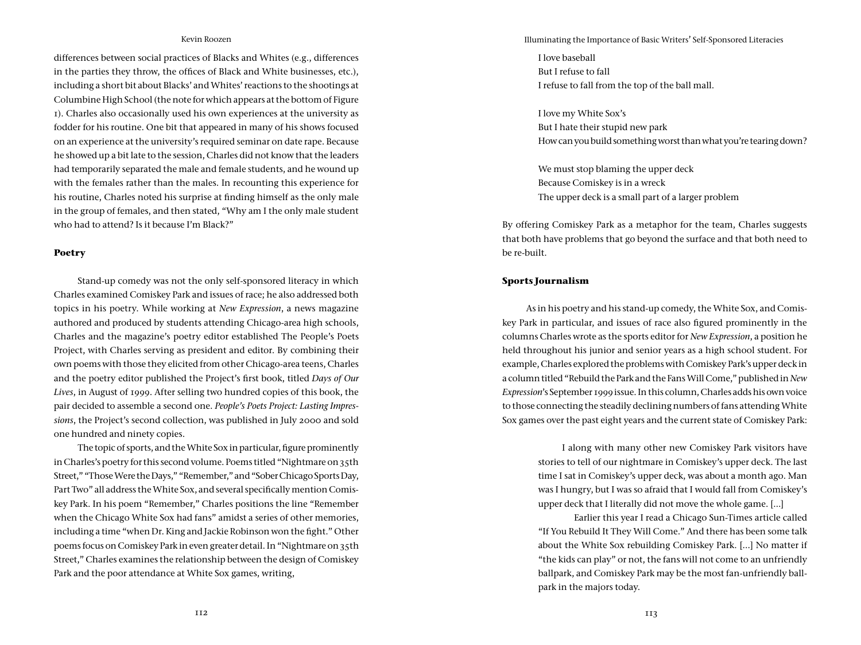differences between social practices of Blacks and Whites (e.g., differences in the parties they throw, the offices of Black and White businesses, etc.), including a short bit about Blacks' and Whites' reactions to the shootings at Columbine High School (the note for which appears at the bottom of Figure 1). Charles also occasionally used his own experiences at the university as fodder for his routine. One bit that appeared in many of his shows focused on an experience at the university's required seminar on date rape. Because he showed up a bit late to the session, Charles did not know that the leaders had temporarily separated the male and female students, and he wound up with the females rather than the males. In recounting this experience for his routine, Charles noted his surprise at finding himself as the only male in the group of females, and then stated, "Why am I the only male student who had to attend? Is it because I'm Black?"

## **Poetry**

Stand-up comedy was not the only self-sponsored literacy in which Charles examined Comiskey Park and issues of race; he also addressed both topics in his poetry. While working at *New Expression*, a news magazine authored and produced by students attending Chicago-area high schools, Charles and the magazine's poetry editor established The People's Poets Project, with Charles serving as president and editor. By combining their own poems with those they elicited from other Chicago-area teens, Charles and the poetry editor published the Project's first book, titled *Days of Our Lives*, in August of 1999. After selling two hundred copies of this book, the pair decided to assemble a second one. *People's Poets Project: Lasting Impressions*, the Project's second collection, was published in July 2000 and sold one hundred and ninety copies.

The topic of sports, and the White Sox in particular, figure prominently in Charles's poetry for this second volume. Poems titled "Nightmare on 35th Street," "Those Were the Days," "Remember," and "Sober Chicago Sports Day, Part Two" all address the White Sox, and several specifically mention Comiskey Park. In his poem "Remember," Charles positions the line "Remember when the Chicago White Sox had fans" amidst a series of other memories, including a time "when Dr. King and Jackie Robinson won the fight." Other poems focus on Comiskey Park in even greater detail. In "Nightmare on 35th Street," Charles examines the relationship between the design of Comiskey Park and the poor attendance at White Sox games, writing,

Illuminating the Importance of Basic Writers' Self-Sponsored Literacies

I love baseball But I refuse to fall I refuse to fall from the top of the ball mall.

I love my White Sox's But I hate their stupid new park How can you build something worst than what you're tearing down?

We must stop blaming the upper deck Because Comiskey is in a wreck The upper deck is a small part of a larger problem

By offering Comiskey Park as a metaphor for the team, Charles suggests that both have problems that go beyond the surface and that both need to be re-built.

# **Sports Journalism**

As in his poetry and his stand-up comedy, the White Sox, and Comiskey Park in particular, and issues of race also figured prominently in the columns Charles wrote as the sports editor for *New Expression*, a position he held throughout his junior and senior years as a high school student. For example, Charles explored the problems with Comiskey Park's upper deck in a column titled "Rebuild the Park and the Fans Will Come," published in *New Expression*'s September 1999 issue. In this column, Charles adds his own voice to those connecting the steadily declining numbers of fans attending White Sox games over the past eight years and the current state of Comiskey Park:

> I along with many other new Comiskey Park visitors have stories to tell of our nightmare in Comiskey's upper deck. The last time I sat in Comiskey's upper deck, was about a month ago. Man was I hungry, but I was so afraid that I would fall from Comiskey's upper deck that I literally did not move the whole game. […]

> Earlier this year I read a Chicago Sun-Times article called "If You Rebuild It They Will Come." And there has been some talk about the White Sox rebuilding Comiskey Park. [...] No matter if "the kids can play" or not, the fans will not come to an unfriendly ballpark, and Comiskey Park may be the most fan-unfriendly ballpark in the majors today.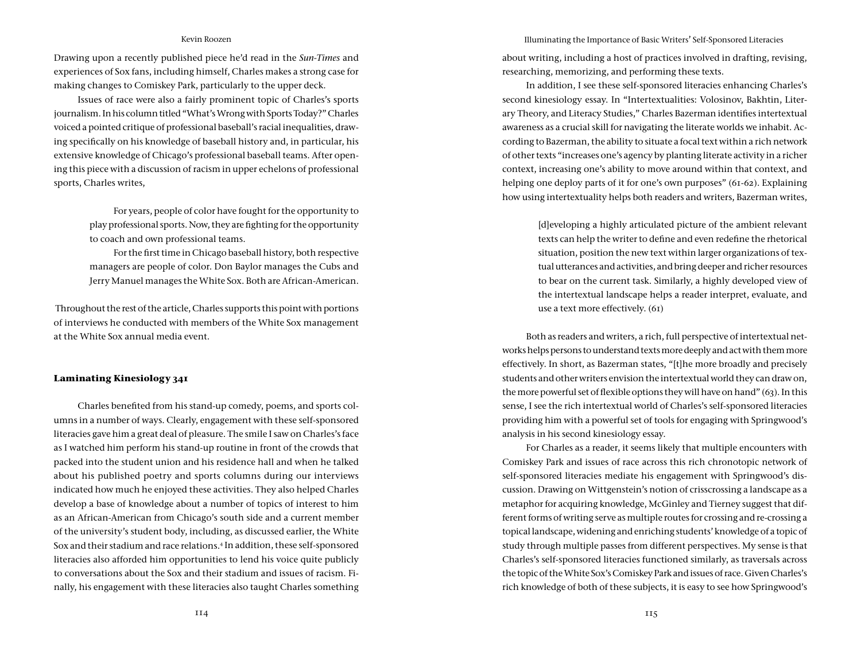Drawing upon a recently published piece he'd read in the *Sun-Times* and experiences of Sox fans, including himself, Charles makes a strong case for making changes to Comiskey Park, particularly to the upper deck.

Issues of race were also a fairly prominent topic of Charles's sports journalism. In his column titled "What's Wrong with Sports Today?" Charles voiced a pointed critique of professional baseball's racial inequalities, drawing specifically on his knowledge of baseball history and, in particular, his extensive knowledge of Chicago's professional baseball teams. After opening this piece with a discussion of racism in upper echelons of professional sports, Charles writes,

> For years, people of color have fought for the opportunity to play professional sports. Now, they are fighting for the opportunity to coach and own professional teams.

> For the first time in Chicago baseball history, both respective managers are people of color. Don Baylor manages the Cubs and Jerry Manuel manages the White Sox. Both are African-American.

 Throughout the rest of the article, Charles supports this point with portions of interviews he conducted with members of the White Sox management at the White Sox annual media event.

#### **Laminating Kinesiology 341**

Charles benefited from his stand-up comedy, poems, and sports columns in a number of ways. Clearly, engagement with these self-sponsored literacies gave him a great deal of pleasure. The smile I saw on Charles's face as I watched him perform his stand-up routine in front of the crowds that packed into the student union and his residence hall and when he talked about his published poetry and sports columns during our interviews indicated how much he enjoyed these activities. They also helped Charles develop a base of knowledge about a number of topics of interest to him as an African-American from Chicago's south side and a current member of the university's student body, including, as discussed earlier, the White Sox and their stadium and race relations.4 In addition, these self-sponsored literacies also afforded him opportunities to lend his voice quite publicly to conversations about the Sox and their stadium and issues of racism. Finally, his engagement with these literacies also taught Charles something

Illuminating the Importance of Basic Writers' Self-Sponsored Literacies

about writing, including a host of practices involved in drafting, revising, researching, memorizing, and performing these texts.

In addition, I see these self-sponsored literacies enhancing Charles's second kinesiology essay. In "Intertextualities: Volosinov, Bakhtin, Literary Theory, and Literacy Studies," Charles Bazerman identifies intertextual awareness as a crucial skill for navigating the literate worlds we inhabit. According to Bazerman, the ability to situate a focal text within a rich network of other texts "increases one's agency by planting literate activity in a richer context, increasing one's ability to move around within that context, and helping one deploy parts of it for one's own purposes" (61-62). Explaining how using intertextuality helps both readers and writers, Bazerman writes,

> [d]eveloping a highly articulated picture of the ambient relevant texts can help the writer to define and even redefine the rhetorical situation, position the new text within larger organizations of textual utterances and activities, and bring deeper and richer resources to bear on the current task. Similarly, a highly developed view of the intertextual landscape helps a reader interpret, evaluate, and use a text more effectively. (61)

Both as readers and writers, a rich, full perspective of intertextual networks helps persons to understand texts more deeply and act with them more effectively. In short, as Bazerman states, "[t]he more broadly and precisely students and other writers envision the intertextual world they can draw on, the more powerful set of flexible options they will have on hand" (63). In this sense, I see the rich intertextual world of Charles's self-sponsored literacies providing him with a powerful set of tools for engaging with Springwood's analysis in his second kinesiology essay.

For Charles as a reader, it seems likely that multiple encounters with Comiskey Park and issues of race across this rich chronotopic network of self-sponsored literacies mediate his engagement with Springwood's discussion. Drawing on Wittgenstein's notion of crisscrossing a landscape as a metaphor for acquiring knowledge, McGinley and Tierney suggest that different forms of writing serve as multiple routes for crossing and re-crossing a topical landscape, widening and enriching students' knowledge of a topic of study through multiple passes from different perspectives. My sense is that Charles's self-sponsored literacies functioned similarly, as traversals across the topic of the White Sox's Comiskey Park and issues of race. Given Charles's rich knowledge of both of these subjects, it is easy to see how Springwood's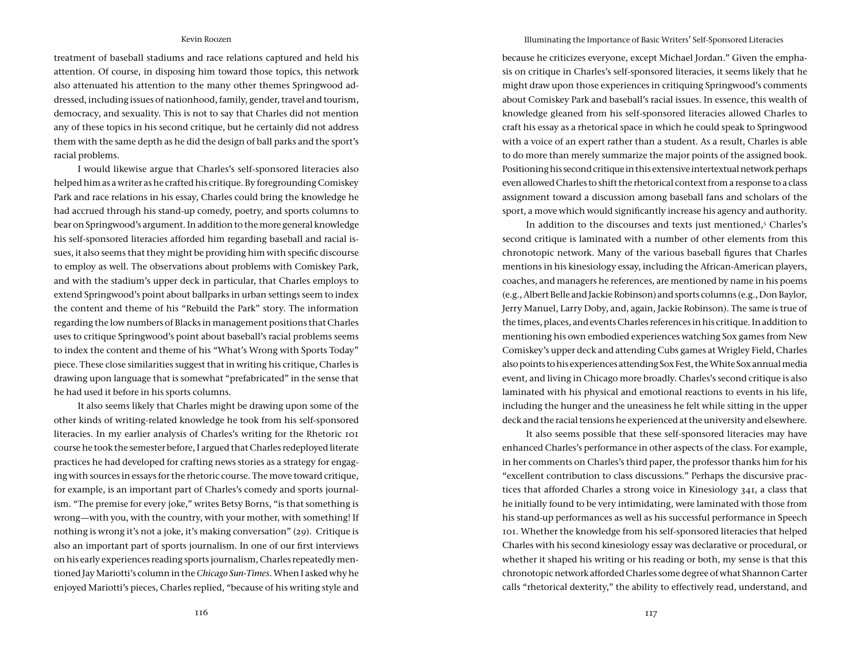treatment of baseball stadiums and race relations captured and held his attention. Of course, in disposing him toward those topics, this network also attenuated his attention to the many other themes Springwood addressed, including issues of nationhood, family, gender, travel and tourism, democracy, and sexuality. This is not to say that Charles did not mention any of these topics in his second critique, but he certainly did not address them with the same depth as he did the design of ball parks and the sport's racial problems.

I would likewise argue that Charles's self-sponsored literacies also helped him as a writer as he crafted his critique. By foregrounding Comiskey Park and race relations in his essay, Charles could bring the knowledge he had accrued through his stand-up comedy, poetry, and sports columns to bear on Springwood's argument. In addition to the more general knowledge his self-sponsored literacies afforded him regarding baseball and racial issues, it also seems that they might be providing him with specific discourse to employ as well. The observations about problems with Comiskey Park, and with the stadium's upper deck in particular, that Charles employs to extend Springwood's point about ballparks in urban settings seem to index the content and theme of his "Rebuild the Park" story. The information regarding the low numbers of Blacks in management positions that Charles uses to critique Springwood's point about baseball's racial problems seems to index the content and theme of his "What's Wrong with Sports Today" piece. These close similarities suggest that in writing his critique, Charles is drawing upon language that is somewhat "prefabricated" in the sense that he had used it before in his sports columns.

It also seems likely that Charles might be drawing upon some of the other kinds of writing-related knowledge he took from his self-sponsored literacies. In my earlier analysis of Charles's writing for the Rhetoric 101 course he took the semester before, I argued that Charles redeployed literate practices he had developed for crafting news stories as a strategy for engaging with sources in essays for the rhetoric course. The move toward critique, for example, is an important part of Charles's comedy and sports journalism. "The premise for every joke," writes Betsy Borns, "is that something is wrong—with you, with the country, with your mother, with something! If nothing is wrong it's not a joke, it's making conversation" (29). Critique is also an important part of sports journalism. In one of our first interviews on his early experiences reading sports journalism, Charles repeatedly mentioned Jay Mariotti's column in the *Chicago Sun-Times*. When I asked why he enjoyed Mariotti's pieces, Charles replied, "because of his writing style and

#### Illuminating the Importance of Basic Writers' Self-Sponsored Literacies

because he criticizes everyone, except Michael Jordan." Given the emphasis on critique in Charles's self-sponsored literacies, it seems likely that he might draw upon those experiences in critiquing Springwood's comments about Comiskey Park and baseball's racial issues. In essence, this wealth of knowledge gleaned from his self-sponsored literacies allowed Charles to craft his essay as a rhetorical space in which he could speak to Springwood with a voice of an expert rather than a student. As a result, Charles is able to do more than merely summarize the major points of the assigned book. Positioning his second critique in this extensive intertextual network perhaps even allowed Charles to shift the rhetorical context from a response to a class assignment toward a discussion among baseball fans and scholars of the sport, a move which would significantly increase his agency and authority.

In addition to the discourses and texts just mentioned,<sup>5</sup> Charles's second critique is laminated with a number of other elements from this chronotopic network. Many of the various baseball figures that Charles mentions in his kinesiology essay, including the African-American players, coaches, and managers he references, are mentioned by name in his poems (e.g., Albert Belle and Jackie Robinson) and sports columns (e.g., Don Baylor, Jerry Manuel, Larry Doby, and, again, Jackie Robinson). The same is true of the times, places, and events Charles references in his critique. In addition to mentioning his own embodied experiences watching Sox games from New Comiskey's upper deck and attending Cubs games at Wrigley Field, Charles also points to his experiences attending Sox Fest, the White Sox annual media event, and living in Chicago more broadly. Charles's second critique is also laminated with his physical and emotional reactions to events in his life, including the hunger and the uneasiness he felt while sitting in the upper deck and the racial tensions he experienced at the university and elsewhere.

It also seems possible that these self-sponsored literacies may have enhanced Charles's performance in other aspects of the class. For example, in her comments on Charles's third paper, the professor thanks him for his "excellent contribution to class discussions." Perhaps the discursive practices that afforded Charles a strong voice in Kinesiology 341, a class that he initially found to be very intimidating, were laminated with those from his stand-up performances as well as his successful performance in Speech 101. Whether the knowledge from his self-sponsored literacies that helped Charles with his second kinesiology essay was declarative or procedural, or whether it shaped his writing or his reading or both, my sense is that this chronotopic network afforded Charles some degree of what Shannon Carter calls "rhetorical dexterity," the ability to effectively read, understand, and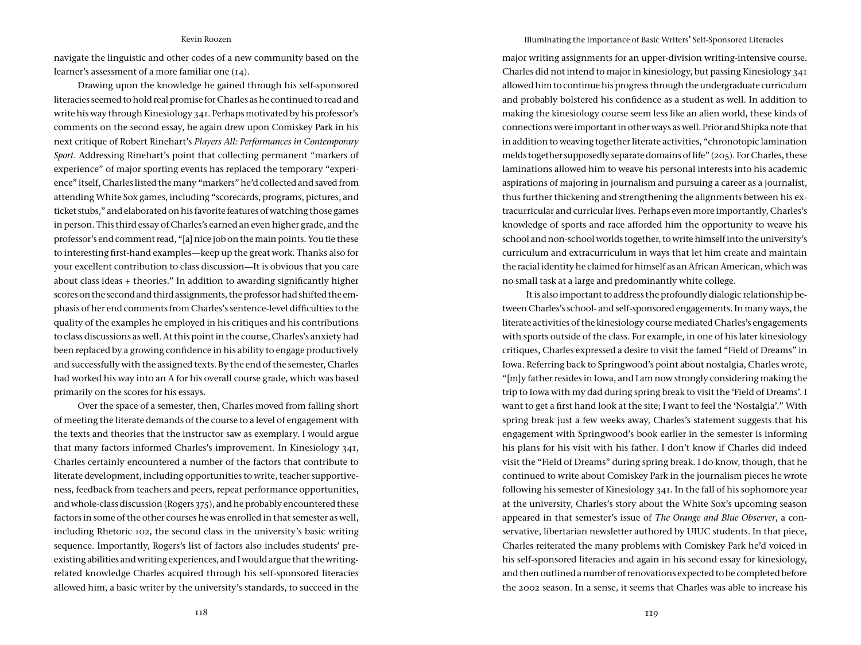navigate the linguistic and other codes of a new community based on the learner's assessment of a more familiar one (14).

Drawing upon the knowledge he gained through his self-sponsored literacies seemed to hold real promise for Charles as he continued to read and write his way through Kinesiology 341. Perhaps motivated by his professor's comments on the second essay, he again drew upon Comiskey Park in his next critique of Robert Rinehart's *Players All: Performances in Contemporary Sport*. Addressing Rinehart's point that collecting permanent "markers of experience" of major sporting events has replaced the temporary "experience" itself, Charles listed the many "markers" he'd collected and saved from attending White Sox games, including "scorecards, programs, pictures, and ticket stubs," and elaborated on his favorite features of watching those games in person. This third essay of Charles's earned an even higher grade, and the professor's end comment read, "[a] nice job on the main points. You tie these to interesting first-hand examples—keep up the great work. Thanks also for your excellent contribution to class discussion—It is obvious that you care about class ideas + theories." In addition to awarding significantly higher scores on the second and third assignments, the professor had shifted the emphasis of her end comments from Charles's sentence-level difficulties to the quality of the examples he employed in his critiques and his contributions to class discussions as well. At this point in the course, Charles's anxiety had been replaced by a growing confidence in his ability to engage productively and successfully with the assigned texts. By the end of the semester, Charles had worked his way into an A for his overall course grade, which was based primarily on the scores for his essays.

Over the space of a semester, then, Charles moved from falling short of meeting the literate demands of the course to a level of engagement with the texts and theories that the instructor saw as exemplary. I would argue that many factors informed Charles's improvement. In Kinesiology 341, Charles certainly encountered a number of the factors that contribute to literate development, including opportunities to write, teacher supportiveness, feedback from teachers and peers, repeat performance opportunities, and whole-class discussion (Rogers 375), and he probably encountered these factors in some of the other courses he was enrolled in that semester as well, including Rhetoric 102, the second class in the university's basic writing sequence. Importantly, Rogers's list of factors also includes students' preexisting abilities and writing experiences, and I would argue that the writingrelated knowledge Charles acquired through his self-sponsored literacies allowed him, a basic writer by the university's standards, to succeed in the

#### Illuminating the Importance of Basic Writers' Self-Sponsored Literacies

major writing assignments for an upper-division writing-intensive course. Charles did not intend to major in kinesiology, but passing Kinesiology 341 allowed him to continue his progress through the undergraduate curriculum and probably bolstered his confidence as a student as well. In addition to making the kinesiology course seem less like an alien world, these kinds of connections were important in other ways as well. Prior and Shipka note that in addition to weaving together literate activities, "chronotopic lamination melds together supposedly separate domains of life" (205). For Charles, these laminations allowed him to weave his personal interests into his academic aspirations of majoring in journalism and pursuing a career as a journalist, thus further thickening and strengthening the alignments between his extracurricular and curricular lives. Perhaps even more importantly, Charles's knowledge of sports and race afforded him the opportunity to weave his school and non-school worlds together, to write himself into the university's curriculum and extracurriculum in ways that let him create and maintain the racial identity he claimed for himself as an African American, which was no small task at a large and predominantly white college.

It is also important to address the profoundly dialogic relationship between Charles's school- and self-sponsored engagements. In many ways, the literate activities of the kinesiology course mediated Charles's engagements with sports outside of the class. For example, in one of his later kinesiology critiques, Charles expressed a desire to visit the famed "Field of Dreams" in Iowa. Referring back to Springwood's point about nostalgia, Charles wrote, "[m]y father resides in Iowa, and I am now strongly considering making the trip to Iowa with my dad during spring break to visit the 'Field of Dreams'. I want to get a first hand look at the site; I want to feel the 'Nostalgia'." With spring break just a few weeks away, Charles's statement suggests that his engagement with Springwood's book earlier in the semester is informing his plans for his visit with his father. I don't know if Charles did indeed visit the "Field of Dreams" during spring break. I do know, though, that he continued to write about Comiskey Park in the journalism pieces he wrote following his semester of Kinesiology 341. In the fall of his sophomore year at the university, Charles's story about the White Sox's upcoming season appeared in that semester's issue of *The Orange and Blue Observer*, a conservative, libertarian newsletter authored by UIUC students. In that piece, Charles reiterated the many problems with Comiskey Park he'd voiced in his self-sponsored literacies and again in his second essay for kinesiology, and then outlined a number of renovations expected to be completed before the 2002 season. In a sense, it seems that Charles was able to increase his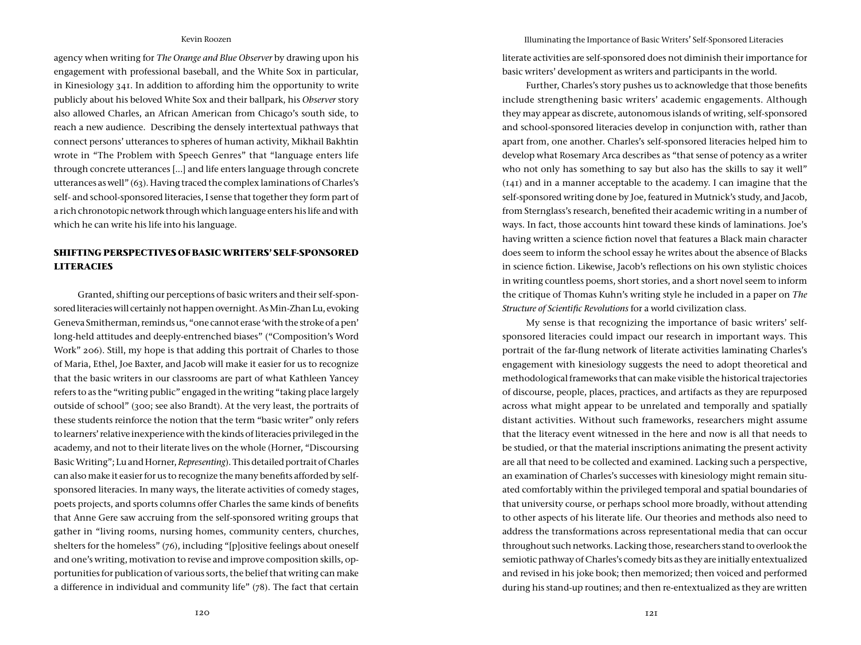agency when writing for *The Orange and Blue Observer* by drawing upon his engagement with professional baseball, and the White Sox in particular, in Kinesiology 341. In addition to affording him the opportunity to write publicly about his beloved White Sox and their ballpark, his *Observer* story also allowed Charles, an African American from Chicago's south side, to reach a new audience. Describing the densely intertextual pathways that connect persons' utterances to spheres of human activity, Mikhail Bakhtin wrote in "The Problem with Speech Genres" that "language enters life through concrete utterances [...] and life enters language through concrete utterances as well" (63). Having traced the complex laminations of Charles's self- and school-sponsored literacies, I sense that together they form part of a rich chronotopic network through which language enters his life and with which he can write his life into his language.

# **SHIFTING PERSPECTIVES OF BASIC WRITERS' SELF-SPONSORED LITERACIES**

Granted, shifting our perceptions of basic writers and their self-sponsored literacies will certainly not happen overnight. As Min-Zhan Lu, evoking Geneva Smitherman, reminds us, "one cannot erase 'with the stroke of a pen' long-held attitudes and deeply-entrenched biases" ("Composition's Word Work" 206). Still, my hope is that adding this portrait of Charles to those of Maria, Ethel, Joe Baxter, and Jacob will make it easier for us to recognize that the basic writers in our classrooms are part of what Kathleen Yancey refers to as the "writing public" engaged in the writing "taking place largely outside of school" (300; see also Brandt). At the very least, the portraits of these students reinforce the notion that the term "basic writer" only refers to learners' relative inexperience with the kinds of literacies privileged in the academy, and not to their literate lives on the whole (Horner, "Discoursing Basic Writing"; Lu and Horner, *Representing*). This detailed portrait of Charles can also make it easier for us to recognize the many benefits afforded by selfsponsored literacies. In many ways, the literate activities of comedy stages, poets projects, and sports columns offer Charles the same kinds of benefits that Anne Gere saw accruing from the self-sponsored writing groups that gather in "living rooms, nursing homes, community centers, churches, shelters for the homeless" (76), including "[p]ositive feelings about oneself and one's writing, motivation to revise and improve composition skills, opportunities for publication of various sorts, the belief that writing can make a difference in individual and community life" (78). The fact that certain

Illuminating the Importance of Basic Writers' Self-Sponsored Literacies

literate activities are self-sponsored does not diminish their importance for basic writers' development as writers and participants in the world.

Further, Charles's story pushes us to acknowledge that those benefits include strengthening basic writers' academic engagements. Although they may appear as discrete, autonomous islands of writing, self-sponsored and school-sponsored literacies develop in conjunction with, rather than apart from, one another. Charles's self-sponsored literacies helped him to develop what Rosemary Arca describes as "that sense of potency as a writer who not only has something to say but also has the skills to say it well" (141) and in a manner acceptable to the academy. I can imagine that the self-sponsored writing done by Joe, featured in Mutnick's study, and Jacob, from Sternglass's research, benefited their academic writing in a number of ways. In fact, those accounts hint toward these kinds of laminations. Joe's having written a science fiction novel that features a Black main character does seem to inform the school essay he writes about the absence of Blacks in science fiction. Likewise, Jacob's reflections on his own stylistic choices in writing countless poems, short stories, and a short novel seem to inform the critique of Thomas Kuhn's writing style he included in a paper on *The Structure of Scientific Revolutions* for a world civilization class.

My sense is that recognizing the importance of basic writers' selfsponsored literacies could impact our research in important ways. This portrait of the far-flung network of literate activities laminating Charles's engagement with kinesiology suggests the need to adopt theoretical and methodological frameworks that can make visible the historical trajectories of discourse, people, places, practices, and artifacts as they are repurposed across what might appear to be unrelated and temporally and spatially distant activities. Without such frameworks, researchers might assume that the literacy event witnessed in the here and now is all that needs to be studied, or that the material inscriptions animating the present activity are all that need to be collected and examined. Lacking such a perspective, an examination of Charles's successes with kinesiology might remain situated comfortably within the privileged temporal and spatial boundaries of that university course, or perhaps school more broadly, without attending to other aspects of his literate life. Our theories and methods also need to address the transformations across representational media that can occur throughout such networks. Lacking those, researchers stand to overlook the semiotic pathway of Charles's comedy bits as they are initially entextualized and revised in his joke book; then memorized; then voiced and performed during his stand-up routines; and then re-entextualized as they are written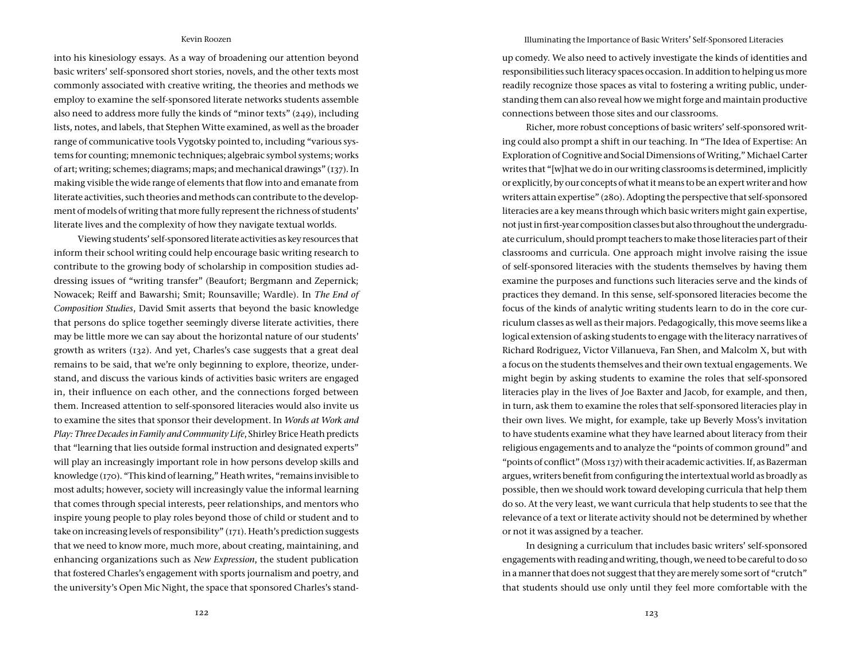into his kinesiology essays. As a way of broadening our attention beyond basic writers' self-sponsored short stories, novels, and the other texts most commonly associated with creative writing, the theories and methods we employ to examine the self-sponsored literate networks students assemble also need to address more fully the kinds of "minor texts" (249), including lists, notes, and labels, that Stephen Witte examined, as well as the broader range of communicative tools Vygotsky pointed to, including "various systems for counting; mnemonic techniques; algebraic symbol systems; works of art; writing; schemes; diagrams; maps; and mechanical drawings" (137). In making visible the wide range of elements that flow into and emanate from literate activities, such theories and methods can contribute to the development of models of writing that more fully represent the richness of students' literate lives and the complexity of how they navigate textual worlds.

Viewing students' self-sponsored literate activities as key resources that inform their school writing could help encourage basic writing research to contribute to the growing body of scholarship in composition studies addressing issues of "writing transfer" (Beaufort; Bergmann and Zepernick; Nowacek; Reiff and Bawarshi; Smit; Rounsaville; Wardle). In *The End of Composition Studies*, David Smit asserts that beyond the basic knowledge that persons do splice together seemingly diverse literate activities, there may be little more we can say about the horizontal nature of our students' growth as writers (132). And yet, Charles's case suggests that a great deal remains to be said, that we're only beginning to explore, theorize, understand, and discuss the various kinds of activities basic writers are engaged in, their influence on each other, and the connections forged between them. Increased attention to self-sponsored literacies would also invite us to examine the sites that sponsor their development. In *Words at Work and Play: Three Decades in Family and Community Life*, Shirley Brice Heath predicts that "learning that lies outside formal instruction and designated experts" will play an increasingly important role in how persons develop skills and knowledge (170). "This kind of learning," Heath writes, "remains invisible to most adults; however, society will increasingly value the informal learning that comes through special interests, peer relationships, and mentors who inspire young people to play roles beyond those of child or student and to take on increasing levels of responsibility" (171). Heath's prediction suggests that we need to know more, much more, about creating, maintaining, and enhancing organizations such as *New Expression*, the student publication that fostered Charles's engagement with sports journalism and poetry, and the university's Open Mic Night, the space that sponsored Charles's stand-

#### Illuminating the Importance of Basic Writers' Self-Sponsored Literacies

up comedy. We also need to actively investigate the kinds of identities and responsibilities such literacy spaces occasion. In addition to helping us more readily recognize those spaces as vital to fostering a writing public, understanding them can also reveal how we might forge and maintain productive connections between those sites and our classrooms.

Richer, more robust conceptions of basic writers' self-sponsored writing could also prompt a shift in our teaching. In "The Idea of Expertise: An Exploration of Cognitive and Social Dimensions of Writing," Michael Carter writes that "[w]hat we do in our writing classrooms is determined, implicitly or explicitly, by our concepts of what it means to be an expert writer and how writers attain expertise" (280). Adopting the perspective that self-sponsored literacies are a key means through which basic writers might gain expertise, not just in first-year composition classes but also throughout the undergraduate curriculum, should prompt teachers to make those literacies part of their classrooms and curricula. One approach might involve raising the issue of self-sponsored literacies with the students themselves by having them examine the purposes and functions such literacies serve and the kinds of practices they demand. In this sense, self-sponsored literacies become the focus of the kinds of analytic writing students learn to do in the core curriculum classes as well as their majors. Pedagogically, this move seems like a logical extension of asking students to engage with the literacy narratives of Richard Rodriguez, Victor Villanueva, Fan Shen, and Malcolm X, but with a focus on the students themselves and their own textual engagements. We might begin by asking students to examine the roles that self-sponsored literacies play in the lives of Joe Baxter and Jacob, for example, and then, in turn, ask them to examine the roles that self-sponsored literacies play in their own lives. We might, for example, take up Beverly Moss's invitation to have students examine what they have learned about literacy from their religious engagements and to analyze the "points of common ground" and "points of conflict" (Moss 137) with their academic activities. If, as Bazerman argues, writers benefit from configuring the intertextual world as broadly as possible, then we should work toward developing curricula that help them do so. At the very least, we want curricula that help students to see that the relevance of a text or literate activity should not be determined by whether or not it was assigned by a teacher.

In designing a curriculum that includes basic writers' self-sponsored engagements with reading and writing, though, we need to be careful to do so in a manner that does not suggest that they are merely some sort of "crutch" that students should use only until they feel more comfortable with the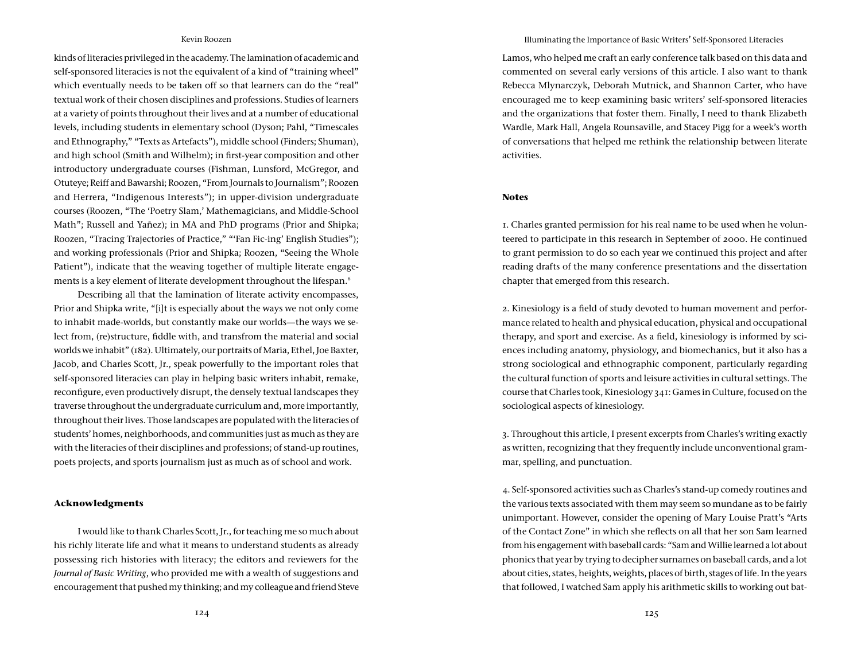kinds of literacies privileged in the academy. The lamination of academic and self-sponsored literacies is not the equivalent of a kind of "training wheel" which eventually needs to be taken off so that learners can do the "real" textual work of their chosen disciplines and professions. Studies of learners at a variety of points throughout their lives and at a number of educational levels, including students in elementary school (Dyson; Pahl, "Timescales and Ethnography," "Texts as Artefacts"), middle school (Finders; Shuman), and high school (Smith and Wilhelm); in first-year composition and other introductory undergraduate courses (Fishman, Lunsford, McGregor, and Otuteye; Reiff and Bawarshi; Roozen, "From Journals to Journalism"; Roozen and Herrera, "Indigenous Interests"); in upper-division undergraduate courses (Roozen, "The 'Poetry Slam,' Mathemagicians, and Middle-School Math"; Russell and Yañez); in MA and PhD programs (Prior and Shipka; Roozen, "Tracing Trajectories of Practice," "'Fan Fic-ing' English Studies"); and working professionals (Prior and Shipka; Roozen, "Seeing the Whole Patient"), indicate that the weaving together of multiple literate engagements is a key element of literate development throughout the lifespan.<sup>6</sup>

Describing all that the lamination of literate activity encompasses, Prior and Shipka write, "[i]t is especially about the ways we not only come to inhabit made-worlds, but constantly make our worlds—the ways we select from, (re)structure, fiddle with, and transfrom the material and social worlds we inhabit" (182). Ultimately, our portraits of Maria, Ethel, Joe Baxter, Jacob, and Charles Scott, Jr., speak powerfully to the important roles that self-sponsored literacies can play in helping basic writers inhabit, remake, reconfigure, even productively disrupt, the densely textual landscapes they traverse throughout the undergraduate curriculum and, more importantly, throughout their lives. Those landscapes are populated with the literacies of students' homes, neighborhoods, and communities just as much as they are with the literacies of their disciplines and professions; of stand-up routines, poets projects, and sports journalism just as much as of school and work.

# **Acknowledgments**

I would like to thank Charles Scott, Jr., for teaching me so much about his richly literate life and what it means to understand students as already possessing rich histories with literacy; the editors and reviewers for the *Journal of Basic Writing*, who provided me with a wealth of suggestions and encouragement that pushed my thinking; and my colleague and friend Steve

#### Illuminating the Importance of Basic Writers' Self-Sponsored Literacies

Lamos, who helped me craft an early conference talk based on this data and commented on several early versions of this article. I also want to thank Rebecca Mlynarczyk, Deborah Mutnick, and Shannon Carter, who have encouraged me to keep examining basic writers' self-sponsored literacies and the organizations that foster them. Finally, I need to thank Elizabeth Wardle, Mark Hall, Angela Rounsaville, and Stacey Pigg for a week's worth of conversations that helped me rethink the relationship between literate activities.

#### **Notes**

1. Charles granted permission for his real name to be used when he volunteered to participate in this research in September of 2000. He continued to grant permission to do so each year we continued this project and after reading drafts of the many conference presentations and the dissertation chapter that emerged from this research.

2. Kinesiology is a field of study devoted to human movement and performance related to health and physical education, physical and occupational therapy, and sport and exercise. As a field, kinesiology is informed by sciences including anatomy, physiology, and biomechanics, but it also has a strong sociological and ethnographic component, particularly regarding the cultural function of sports and leisure activities in cultural settings. The course that Charles took, Kinesiology 341: Games in Culture, focused on the sociological aspects of kinesiology.

3. Throughout this article, I present excerpts from Charles's writing exactly as written, recognizing that they frequently include unconventional grammar, spelling, and punctuation.

4. Self-sponsored activities such as Charles's stand-up comedy routines and the various texts associated with them may seem so mundane as to be fairly unimportant. However, consider the opening of Mary Louise Pratt's "Arts of the Contact Zone" in which she reflects on all that her son Sam learned from his engagement with baseball cards: "Sam and Willie learned a lot about phonics that year by trying to decipher surnames on baseball cards, and a lot about cities, states, heights, weights, places of birth, stages of life. In the years that followed, I watched Sam apply his arithmetic skills to working out bat-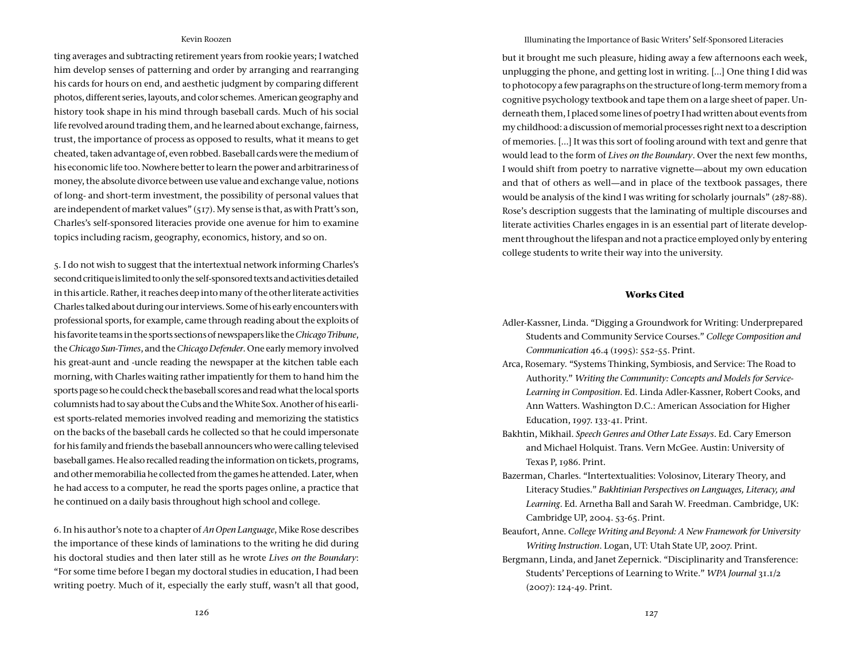ting averages and subtracting retirement years from rookie years; I watched him develop senses of patterning and order by arranging and rearranging his cards for hours on end, and aesthetic judgment by comparing different photos, different series, layouts, and color schemes. American geography and history took shape in his mind through baseball cards. Much of his social life revolved around trading them, and he learned about exchange, fairness, trust, the importance of process as opposed to results, what it means to get cheated, taken advantage of, even robbed. Baseball cards were the medium of his economic life too. Nowhere better to learn the power and arbitrariness of money, the absolute divorce between use value and exchange value, notions of long- and short-term investment, the possibility of personal values that are independent of market values" (517). My sense is that, as with Pratt's son, Charles's self-sponsored literacies provide one avenue for him to examine topics including racism, geography, economics, history, and so on.

5. I do not wish to suggest that the intertextual network informing Charles's second critique is limited to only the self-sponsored texts and activities detailed in this article. Rather, it reaches deep into many of the other literate activities Charles talked about during our interviews. Some of his early encounters with professional sports, for example, came through reading about the exploits of his favorite teams in the sports sections of newspapers like the *Chicago Tribune*, the *Chicago Sun-Times*, and the *Chicago Defender*. One early memory involved his great-aunt and -uncle reading the newspaper at the kitchen table each morning, with Charles waiting rather impatiently for them to hand him the sports page so he could check the baseball scores and read what the local sports columnists had to say about the Cubs and the White Sox. Another of his earliest sports-related memories involved reading and memorizing the statistics on the backs of the baseball cards he collected so that he could impersonate for his family and friends the baseball announcers who were calling televised baseball games. He also recalled reading the information on tickets, programs, and other memorabilia he collected from the games he attended. Later, when he had access to a computer, he read the sports pages online, a practice that he continued on a daily basis throughout high school and college.

6. In his author's note to a chapter of *An Open Language*, Mike Rose describes the importance of these kinds of laminations to the writing he did during his doctoral studies and then later still as he wrote *Lives on the Boundary*: "For some time before I began my doctoral studies in education, I had been writing poetry. Much of it, especially the early stuff, wasn't all that good, Illuminating the Importance of Basic Writers' Self-Sponsored Literacies

but it brought me such pleasure, hiding away a few afternoons each week, unplugging the phone, and getting lost in writing. […] One thing I did was to photocopy a few paragraphs on the structure of long-term memory from a cognitive psychology textbook and tape them on a large sheet of paper. Underneath them, I placed some lines of poetry I had written about events from my childhood: a discussion of memorial processes right next to a description of memories. […] It was this sort of fooling around with text and genre that would lead to the form of *Lives on the Boundary*. Over the next few months, I would shift from poetry to narrative vignette—about my own education and that of others as well—and in place of the textbook passages, there would be analysis of the kind I was writing for scholarly journals" (287-88). Rose's description suggests that the laminating of multiple discourses and literate activities Charles engages in is an essential part of literate development throughout the lifespan and not a practice employed only by entering college students to write their way into the university.

# **Works Cited**

- Adler-Kassner, Linda. "Digging a Groundwork for Writing: Underprepared Students and Community Service Courses." *College Composition and Communication* 46.4 (1995): 552-55. Print.
- Arca, Rosemary. "Systems Thinking, Symbiosis, and Service: The Road to Authority." *Writing the Community: Concepts and Models for Service-Learning in Composition*. Ed. Linda Adler-Kassner, Robert Cooks, and Ann Watters. Washington D.C.: American Association for Higher Education, 1997. 133-41. Print.
- Bakhtin, Mikhail. *Speech Genres and Other Late Essays*. Ed. Cary Emerson and Michael Holquist. Trans. Vern McGee. Austin: University of Texas P, 1986. Print.
- Bazerman, Charles. "Intertextualities: Volosinov, Literary Theory, and Literacy Studies." *Bakhtinian Perspectives on Languages, Literacy, and Learning*. Ed. Arnetha Ball and Sarah W. Freedman. Cambridge, UK: Cambridge UP, 2004. 53-65. Print.
- Beaufort, Anne. *College Writing and Beyond: A New Framework for University Writing Instruction*. Logan, UT: Utah State UP, 2007. Print.
- Bergmann, Linda, and Janet Zepernick. "Disciplinarity and Transference: Students' Perceptions of Learning to Write." *WPA Journal* 31.1/2 (2007): 124-49. Print.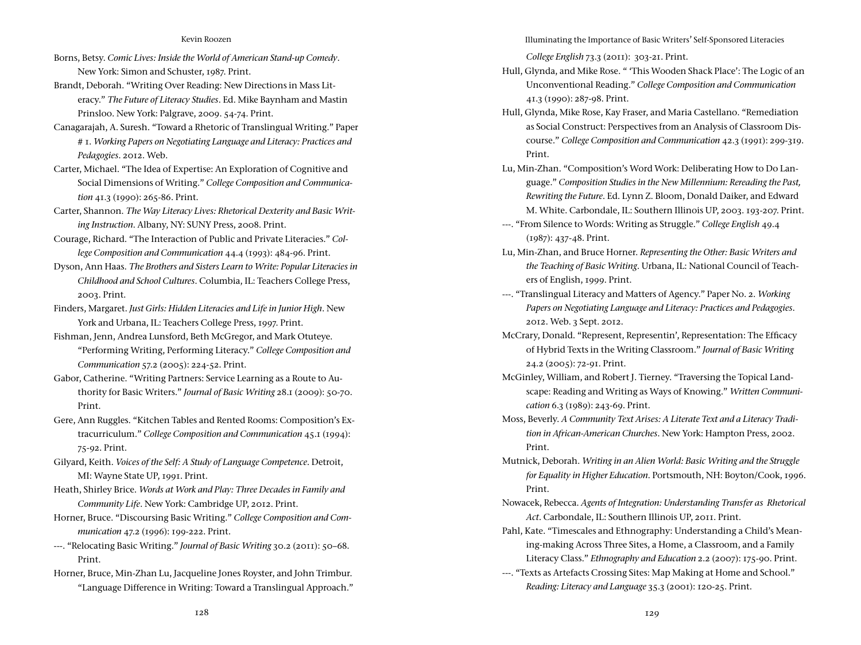- Borns, Betsy. *Comic Lives: Inside the World of American Stand-up Comedy*. New York: Simon and Schuster, 1987. Print.
- Brandt, Deborah. "Writing Over Reading: New Directions in Mass Literacy." *The Future of Literacy Studies*. Ed. Mike Baynham and Mastin Prinsloo. New York: Palgrave, 2009. 54-74. Print.
- Canagarajah, A. Suresh. "Toward a Rhetoric of Translingual Writing." Paper # 1. *Working Papers on Negotiating Language and Literacy: Practices and Pedagogies*. 2012. Web.
- Carter, Michael. "The Idea of Expertise: An Exploration of Cognitive and Social Dimensions of Writing." *College Composition and Communication* 41.3 (1990): 265-86. Print.
- Carter, Shannon. *The Way Literacy Lives: Rhetorical Dexterity and Basic Writing Instruction*. Albany, NY: SUNY Press, 2008. Print.
- Courage, Richard. "The Interaction of Public and Private Literacies." *College Composition and Communication* 44.4 (1993): 484-96. Print.
- Dyson, Ann Haas. *The Brothers and Sisters Learn to Write: Popular Literacies in Childhood and School Cultures*. Columbia, IL: Teachers College Press, 2003. Print.
- Finders, Margaret. *Just Girls: Hidden Literacies and Life in Junior High*. New York and Urbana, IL: Teachers College Press, 1997. Print.
- Fishman, Jenn, Andrea Lunsford, Beth McGregor, and Mark Otuteye. "Performing Writing, Performing Literacy." *College Composition and Communication* 57.2 (2005): 224-52. Print.
- Gabor, Catherine. "Writing Partners: Service Learning as a Route to Authority for Basic Writers." *Journal of Basic Writing* 28.1 (2009): 50-70. Print.
- Gere, Ann Ruggles. "Kitchen Tables and Rented Rooms: Composition's Extracurriculum." *College Composition and Communication* 45.1 (1994): 75-92. Print.
- Gilyard, Keith. *Voices of the Self: A Study of Language Competence*. Detroit, MI: Wayne State UP, 1991. Print.
- Heath, Shirley Brice. *Words at Work and Play: Three Decades in Family and Community Life*. New York: Cambridge UP, 2012. Print.
- Horner, Bruce. "Discoursing Basic Writing." *College Composition and Communication* 47.2 (1996): 199-222. Print.
- ---. "Relocating Basic Writing." *Journal of Basic Writing* 30.2 (2011): 50–68. Print.
- Horner, Bruce, Min-Zhan Lu, Jacqueline Jones Royster, and John Trimbur. "Language Difference in Writing: Toward a Translingual Approach."

Illuminating the Importance of Basic Writers' Self-Sponsored Literacies

*College English* 73.3 (2011): 303-21. Print.

- Hull, Glynda, and Mike Rose. " 'This Wooden Shack Place': The Logic of an Unconventional Reading." *College Composition and Communication* 41.3 (1990): 287-98. Print.
- Hull, Glynda, Mike Rose, Kay Fraser, and Maria Castellano. "Remediation as Social Construct: Perspectives from an Analysis of Classroom Discourse." *College Composition and Communication* 42.3 (1991): 299-319. Print.
- Lu, Min-Zhan. "Composition's Word Work: Deliberating How to Do Language." *Composition Studies in the New Millennium: Rereading the Past, Rewriting the Future*. Ed. Lynn Z. Bloom, Donald Daiker, and Edward M. White. Carbondale, IL: Southern Illinois UP, 2003. 193-207. Print.
- ---. "From Silence to Words: Writing as Struggle." *College English* 49.4 (1987): 437-48. Print.
- Lu, Min-Zhan, and Bruce Horner. *Representing the Other: Basic Writers and the Teaching of Basic Writing*. Urbana, IL: National Council of Teachers of English, 1999. Print.
- ---. "Translingual Literacy and Matters of Agency." Paper No. 2. *Working Papers on Negotiating Language and Literacy: Practices and Pedagogies*. 2012. Web. 3 Sept. 2012.
- McCrary, Donald. "Represent, Representin', Representation: The Efficacy of Hybrid Texts in the Writing Classroom." *Journal of Basic Writing* 24.2 (2005): 72-91. Print.
- McGinley, William, and Robert J. Tierney. "Traversing the Topical Landscape: Reading and Writing as Ways of Knowing." *Written Communication* 6.3 (1989): 243-69. Print.
- Moss, Beverly. *A Community Text Arises: A Literate Text and a Literacy Tradition in African-American Churches*. New York: Hampton Press, 2002. Print.
- Mutnick, Deborah. *Writing in an Alien World: Basic Writing and the Struggle for Equality in Higher Education*. Portsmouth, NH: Boyton/Cook, 1996. Print.
- Nowacek, Rebecca. *Agents of Integration: Understanding Transfer as Rhetorical Act*. Carbondale, IL: Southern Illinois UP, 2011. Print.
- Pahl, Kate. "Timescales and Ethnography: Understanding a Child's Meaning-making Across Three Sites, a Home, a Classroom, and a Family Literacy Class." *Ethnography and Education* 2.2 (2007): 175-90. Print.
- ---. "Texts as Artefacts Crossing Sites: Map Making at Home and School." *Reading: Literacy and Language* 35.3 (2001): 120-25. Print.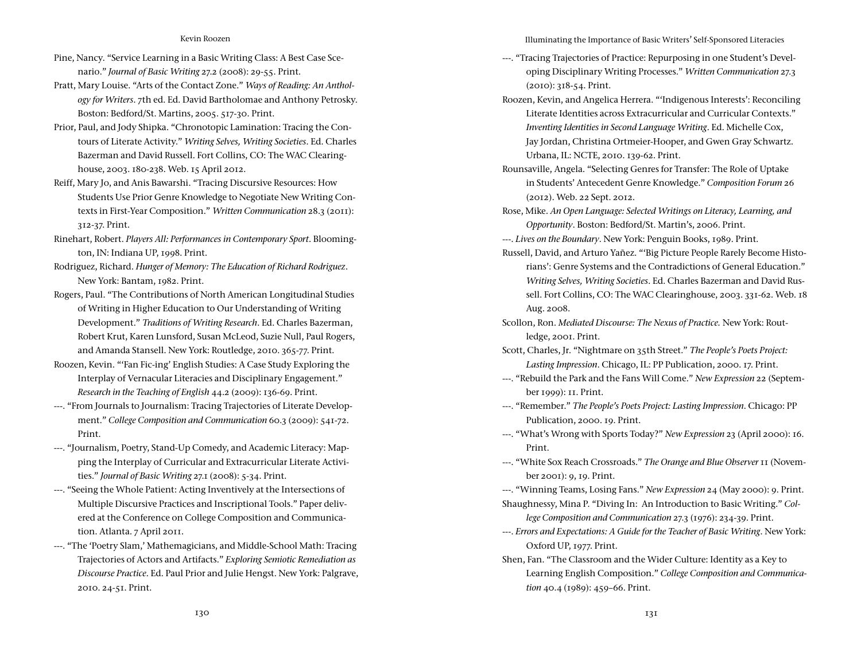- Pine, Nancy. "Service Learning in a Basic Writing Class: A Best Case Scenario." *Journal of Basic Writing* 27.2 (2008): 29-55. Print.
- Pratt, Mary Louise. "Arts of the Contact Zone." *Ways of Reading: An Anthology for Writers*. 7th ed. Ed. David Bartholomae and Anthony Petrosky. Boston: Bedford/St. Martins, 2005. 517-30. Print.
- Prior, Paul, and Jody Shipka. "Chronotopic Lamination: Tracing the Contours of Literate Activity." *Writing Selves, Writing Societies*. Ed. Charles Bazerman and David Russell. Fort Collins, CO: The WAC Clearinghouse, 2003. 180-238. Web. 15 April 2012.
- Reiff, Mary Jo, and Anis Bawarshi. "Tracing Discursive Resources: How Students Use Prior Genre Knowledge to Negotiate New Writing Contexts in First-Year Composition." *Written Communication* 28.3 (2011): 312-37. Print.
- Rinehart, Robert. *Players All: Performances in Contemporary Sport*. Bloomington, IN: Indiana UP, 1998. Print.
- Rodriguez, Richard. *Hunger of Memory: The Education of Richard Rodriguez*. New York: Bantam, 1982. Print.
- Rogers, Paul. "The Contributions of North American Longitudinal Studies of Writing in Higher Education to Our Understanding of Writing Development." *Traditions of Writing Research*. Ed. Charles Bazerman, Robert Krut, Karen Lunsford, Susan McLeod, Suzie Null, Paul Rogers, and Amanda Stansell. New York: Routledge, 2010. 365-77. Print.
- Roozen, Kevin. "'Fan Fic-ing' English Studies: A Case Study Exploring the Interplay of Vernacular Literacies and Disciplinary Engagement." *Research in the Teaching of English* 44.2 (2009): 136-69. Print.
- ---. "From Journals to Journalism: Tracing Trajectories of Literate Development." *College Composition and Communication* 60.3 (2009): 541-72. Print.
- ---. "Journalism, Poetry, Stand-Up Comedy, and Academic Literacy: Mapping the Interplay of Curricular and Extracurricular Literate Activities." *Journal of Basic Writing* 27.1 (2008): 5-34. Print.
- ---. "Seeing the Whole Patient: Acting Inventively at the Intersections of Multiple Discursive Practices and Inscriptional Tools." Paper delivered at the Conference on College Composition and Communication. Atlanta. 7 April 2011.
- ---. "The 'Poetry Slam,' Mathemagicians, and Middle-School Math: Tracing Trajectories of Actors and Artifacts." *Exploring Semiotic Remediation as Discourse Practice*. Ed. Paul Prior and Julie Hengst. New York: Palgrave, 2010. 24-51. Print.

Illuminating the Importance of Basic Writers' Self-Sponsored Literacies

- ---. "Tracing Trajectories of Practice: Repurposing in one Student's Developing Disciplinary Writing Processes." *Written Communication* 27.3 (2010): 318-54. Print.
- Roozen, Kevin, and Angelica Herrera. "'Indigenous Interests': Reconciling Literate Identities across Extracurricular and Curricular Contexts." *Inventing Identities in Second Language Writing*. Ed. Michelle Cox, Jay Jordan, Christina Ortmeier-Hooper, and Gwen Gray Schwartz. Urbana, IL: NCTE, 2010. 139-62. Print.
- Rounsaville, Angela. "Selecting Genres for Transfer: The Role of Uptake in Students' Antecedent Genre Knowledge." *Composition Forum* 26 (2012). Web. 22 Sept. 2012.
- Rose, Mike. *An Open Language: Selected Writings on Literacy, Learning, and Opportunity*. Boston: Bedford/St. Martin's, 2006. Print.
- ---. *Lives on the Boundary*. New York: Penguin Books, 1989. Print.
- Russell, David, and Arturo Yañez. "'Big Picture People Rarely Become Historians': Genre Systems and the Contradictions of General Education." *Writing Selves, Writing Societies*. Ed. Charles Bazerman and David Russell. Fort Collins, CO: The WAC Clearinghouse, 2003. 331-62. Web. 18 Aug. 2008.
- Scollon, Ron. *Mediated Discourse: The Nexus of Practice.* New York: Routledge, 2001. Print.
- Scott, Charles, Jr. "Nightmare on 35th Street." *The People's Poets Project: Lasting Impression*. Chicago, IL: PP Publication, 2000. 17. Print.
- ---. "Rebuild the Park and the Fans Will Come." *New Expression* 22 (September 1999): 11. Print.
- ---. "Remember." *The People's Poets Project: Lasting Impression*. Chicago: PP Publication, 2000. 19. Print.
- ---. "What's Wrong with Sports Today?" *New Expression* 23 (April 2000): 16. Print.
- ---. "White Sox Reach Crossroads." *The Orange and Blue Observer* 11 (November 2001): 9, 19. Print.
- ---. "Winning Teams, Losing Fans." *New Expression* 24 (May 2000): 9. Print.
- Shaughnessy, Mina P. "Diving In: An Introduction to Basic Writing." *College Composition and Communication* 27.3 (1976): 234-39. Print.
- ---. *Errors and Expectations: A Guide for the Teacher of Basic Writing*. New York: Oxford UP, 1977. Print.
- Shen, Fan. "The Classroom and the Wider Culture: Identity as a Key to Learning English Composition." *College Composition and Communication* 40.4 (1989): 459–66. Print.